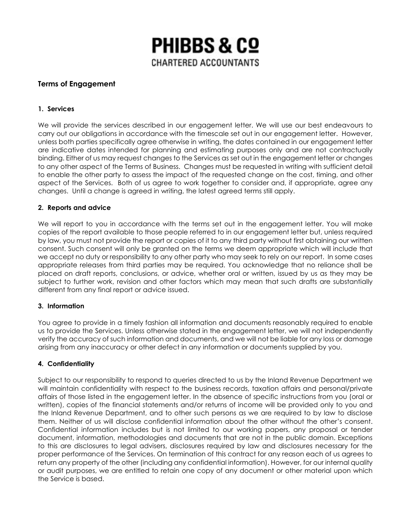

# **Terms of Engagement**

### **1. Services**

We will provide the services described in our engagement letter. We will use our best endeavours to carry out our obligations in accordance with the timescale set out in our engagement letter. However, unless both parties specifically agree otherwise in writing, the dates contained in our engagement letter are indicative dates intended for planning and estimating purposes only and are not contractually binding. Either of us may request changes to the Services as set out in the engagement letter or changes to any other aspect of the Terms of Business. Changes must be requested in writing with sufficient detail to enable the other party to assess the impact of the requested change on the cost, timing, and other aspect of the Services. Both of us agree to work together to consider and, if appropriate, agree any changes. Until a change is agreed in writing, the latest agreed terms still apply.

#### **2. Reports and advice**

We will report to you in accordance with the terms set out in the engagement letter. You will make copies of the report available to those people referred to in our engagement letter but, unless required by law, you must not provide the report or copies of it to any third party without first obtaining our written consent. Such consent will only be granted on the terms we deem appropriate which will include that we accept no duty or responsibility to any other party who may seek to rely on our report. In some cases appropriate releases from third parties may be required. You acknowledge that no reliance shall be placed on draft reports, conclusions, or advice, whether oral or written, issued by us as they may be subject to further work, revision and other factors which may mean that such drafts are substantially different from any final report or advice issued.

#### **3. Information**

You agree to provide in a timely fashion all information and documents reasonably required to enable us to provide the Services. Unless otherwise stated in the engagement letter, we will not independently verify the accuracy of such information and documents, and we will not be liable for any loss or damage arising from any inaccuracy or other defect in any information or documents supplied by you.

#### **4. Confidentiality**

Subject to our responsibility to respond to queries directed to us by the Inland Revenue Department we will maintain confidentiality with respect to the business records, taxation affairs and personal/private affairs of those listed in the engagement letter. In the absence of specific instructions from you (oral or written), copies of the financial statements and/or returns of income will be provided only to you and the Inland Revenue Department, and to other such persons as we are required to by law to disclose them. Neither of us will disclose confidential information about the other without the other's consent. Confidential information includes but is not limited to our working papers, any proposal or tender document, information, methodologies and documents that are not in the public domain. Exceptions to this are disclosures to legal advisers, disclosures required by law and disclosures necessary for the proper performance of the Services. On termination of this contract for any reason each of us agrees to return any property of the other (including any confidential information). However, for our internal quality or audit purposes, we are entitled to retain one copy of any document or other material upon which the Service is based.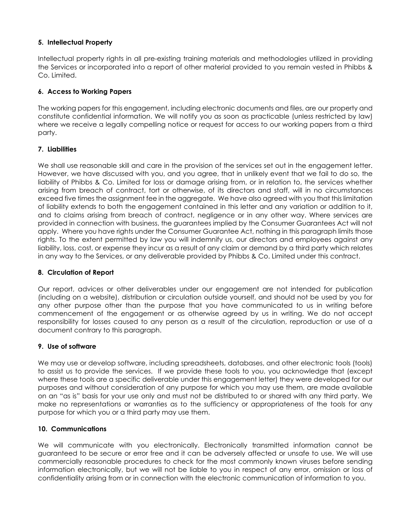# **5. Intellectual Property**

Intellectual property rights in all pre-existing training materials and methodologies utilized in providing the Services or incorporated into a report of other material provided to you remain vested in Phibbs & Co. Limited.

### **6. Access to Working Papers**

The working papers for this engagement, including electronic documents and files, are our property and constitute confidential information. We will notify you as soon as practicable (unless restricted by law) where we receive a legally compelling notice or request for access to our working papers from a third party.

### **7. Liabilities**

We shall use reasonable skill and care in the provision of the services set out in the engagement letter. However, we have discussed with you, and you agree, that in unlikely event that we fail to do so, the liability of Phibbs & Co. Limited for loss or damage arising from, or in relation to, the services whether arising from breach of contract, tort or otherwise, of its directors and staff, will in no circumstances exceed five times the assignment fee in the aggregate. We have also agreed with you that this limitation of liability extends to both the engagement contained in this letter and any variation or addition to it, and to claims arising from breach of contract, negligence or in any other way. Where services are provided in connection with business, the guarantees implied by the Consumer Guarantees Act will not apply. Where you have rights under the Consumer Guarantee Act, nothing in this paragraph limits those rights. To the extent permitted by law you will indemnify us, our directors and employees against any liability, loss, cost, or expense they incur as a result of any claim or demand by a third party which relates in any way to the Services, or any deliverable provided by Phibbs & Co. Limited under this contract.

#### **8. Circulation of Report**

Our report, advices or other deliverables under our engagement are not intended for publication (including on a website), distribution or circulation outside yourself, and should not be used by you for any other purpose other than the purpose that you have communicated to us in writing before commencement of the engagement or as otherwise agreed by us in writing. We do not accept responsibility for losses caused to any person as a result of the circulation, reproduction or use of a document contrary to this paragraph.

#### **9. Use of software**

We may use or develop software, including spreadsheets, databases, and other electronic tools (tools) to assist us to provide the services. If we provide these tools to you, you acknowledge that (except where these tools are a specific deliverable under this engagement letter) they were developed for our purposes and without consideration of any purpose for which you may use them, are made available on an "as is" basis for your use only and must not be distributed to or shared with any third party. We make no representations or warranties as to the sufficiency or appropriateness of the tools for any purpose for which you or a third party may use them.

#### **10. Communications**

We will communicate with you electronically. Electronically transmitted information cannot be guaranteed to be secure or error free and it can be adversely affected or unsafe to use. We will use commercially reasonable procedures to check for the most commonly known viruses before sending information electronically, but we will not be liable to you in respect of any error, omission or loss of confidentiality arising from or in connection with the electronic communication of information to you.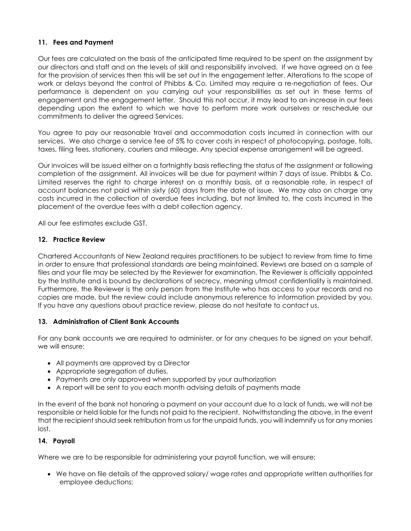# **11. Fees and Payment**

Our fees are calculated on the basis of the anticipated time required to be spent on the assignment by our directors and staff and on the levels of skill and responsibility involved. If we have agreed on a fee for the provision of services then this will be set out in the engagement letter. Alterations to the scope of work or delays beyond the control of Phibbs & Co. Limited may require a re-negotiation of fees. Our performance is dependent on you carrying out your responsibilities as set out in these terms of engagement and the engagement letter. Should this not occur, it may lead to an increase in our fees depending upon the extent to which we have to perform more work ourselves or reschedule our commitments to deliver the agreed Services.

You agree to pay our reasonable travel and accommodation costs incurred in connection with our services. We also charge a service fee of 5% to cover costs in respect of photocopying, postage, tolls, taxes, filing fees, stationery, couriers and mileage. Any special expense arrangement will be agreed.

Our invoices will be issued either on a fortnightly basis reflecting the status of the assignment or following completion of the assignment. All invoices will be due for payment within 7 days of issue. Phibbs & Co. Limited reserves the right to charge interest on a monthly basis, at a reasonable rate, in respect of account balances not paid within sixty (60) days from the date of issue. We may also on charge any costs incurred in the collection of overdue fees including, but not limited to, the costs incurred in the placement of the overdue fees with a debt collection agency.

All our fee estimates exclude GST.

#### **12. Practice Review**

Chartered Accountants of New Zealand requires practitioners to be subject to review from time to time in order to ensure that professional standards are being maintained. Reviews are based on a sample of files and your file may be selected by the Reviewer for examination. The Reviewer is officially appointed by the Institute and is bound by declarations of secrecy, meaning utmost confidentiality is maintained. Furthermore, the Reviewer is the only person from the Institute who has access to your records and no copies are made, but the review could include anonymous reference to information provided by you. If you have any questions about practice review, please do not hesitate to contact us.

#### **13. Administration of Client Bank Accounts**

For any bank accounts we are required to administer, or for any cheques to be signed on your behalf, we will ensure:

- All payments are approved by a Director
- Appropriate segregation of duties,
- Payments are only approved when supported by your authorization
- A report will be sent to you each month advising details of payments made

In the event of the bank not honoring a payment on your account due to a lack of funds, we will not be responsible or held liable for the funds not paid to the recipient. Notwithstanding the above, in the event that the recipient should seek retribution from us for the unpaid funds, you will indemnify us for any monies lost.

#### **14. Payroll**

Where we are to be responsible for administering your payroll function, we will ensure;

• We have on file details of the approved salary/ wage rates and appropriate written authorities for employee deductions;